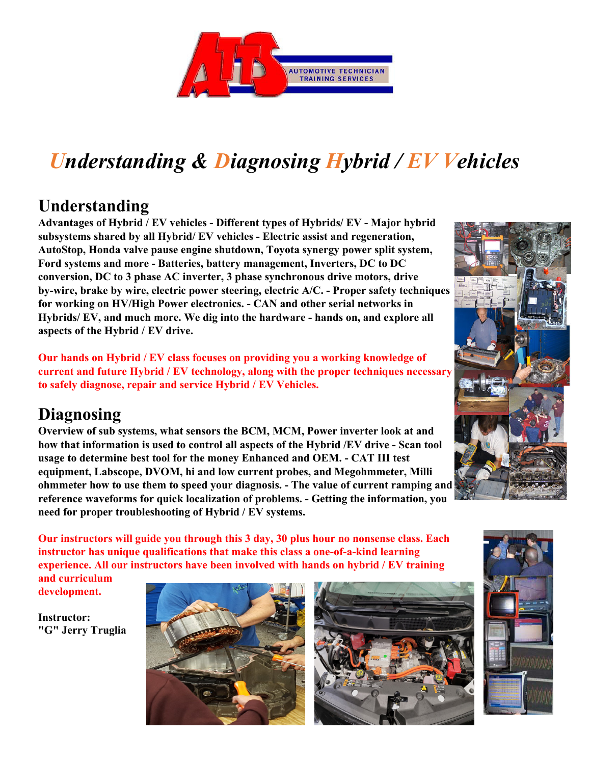

## *Understanding & Diagnosing Hybrid / EV Vehicles*

## **Understanding**

**Advantages of Hybrid / EV vehicles - Different types of Hybrids/ EV - Major hybrid subsystems shared by all Hybrid/ EV vehicles - Electric assist and regeneration, AutoStop, Honda valve pause engine shutdown, Toyota synergy power split system, Ford systems and more - Batteries, battery management, Inverters, DC to DC conversion, DC to 3 phase AC inverter, 3 phase synchronous drive motors, drive by-wire, brake by wire, electric power steering, electric A/C. - Proper safety techniques for working on HV/High Power electronics. - CAN and other serial networks in Hybrids/ EV, and much more. We dig into the hardware - hands on, and explore all aspects of the Hybrid / EV drive.** 

**Our hands on Hybrid / EV class focuses on providing you a working knowledge of current and future Hybrid / EV technology, along with the proper techniques necessary to safely diagnose, repair and service Hybrid / EV Vehicles.** 

## **Diagnosing**

**Overview of sub systems, what sensors the BCM, MCM, Power inverter look at and how that information is used to control all aspects of the Hybrid /EV drive - Scan tool usage to determine best tool for the money Enhanced and OEM. - CAT III test equipment, Labscope, DVOM, hi and low current probes, and Megohmmeter, Milli ohmmeter how to use them to speed your diagnosis. - The value of current ramping and reference waveforms for quick localization of problems. - Getting the information, you need for proper troubleshooting of Hybrid / EV systems.** 

**Our instructors will guide you through this 3 day, 30 plus hour no nonsense class. Each instructor has unique qualifications that make this class a one-of-a-kind learning experience. All our instructors have been involved with hands on hybrid / EV training** 

**and curriculum development.** 

**Instructor: "G" Jerry Truglia**